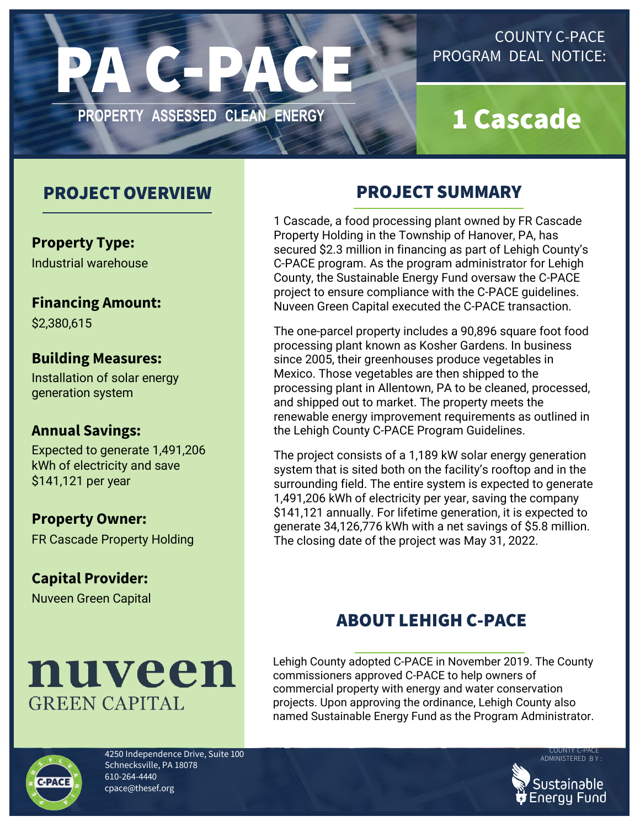

### COUNTY C-PACE PROGRAM DEAL NOTICE:

# 1 Cascade

## PROJECTOVERVIEW

**Property Type:** Industrial warehouse

**Financing Amount:**

\$2,380,615

#### **Building Measures:**

Installation of solar energy generation system

#### **Annual Savings:**

Expected to generate 1,491,206 kWh of electricity and save \$141,121 per year

**Property Owner:**

FR Cascade Property Holding

**Capital Provider:** Nuveen Green Capital



# PROJECT SUMMARY

1 Cascade, a food processing plant owned by FR Cascade Property Holding in the Township of Hanover, PA, has secured \$2.3 million in financing as part of Lehigh County's C-PACE program. As the program administrator for Lehigh County, the Sustainable Energy Fund oversaw the C-PACE project to ensure compliance with the C-PACE guidelines. Nuveen Green Capital executed the C-PACE transaction.

The one-parcel property includes a 90,896 square foot food processing plant known as Kosher Gardens. In business since 2005, their greenhouses produce vegetables in Mexico. Those vegetables are then shipped to the processing plant in Allentown, PA to be cleaned, processed, and shipped out to market. The property meets the renewable energy improvement requirements as outlined in the Lehigh County C-PACE Program Guidelines.

The project consists of a 1,189 kW solar energy generation system that is sited both on the facility's rooftop and in the surrounding field. The entire system is expected to generate 1,491,206 kWh of electricity per year, saving the company \$141,121 annually. For lifetime generation, it is expected to generate 34,126,776 kWh with a net savings of \$5.8 million. The closing date of the project was May 31, 2022.

# ABOUT LEHIGH C-PACE

Lehigh County adopted C-PACE in November 2019. The County commissioners approved C-PACE to help owners of commercial property with energy and water conservation projects. Upon approving the ordinance, Lehigh County also named Sustainable Energy Fund as the Program Administrator.



4250 Independence Drive, Suite 100 Schnecksville, PA 18078 610-264-4440 [cpace@thesef.org](mailto:cpace@thesef.org)